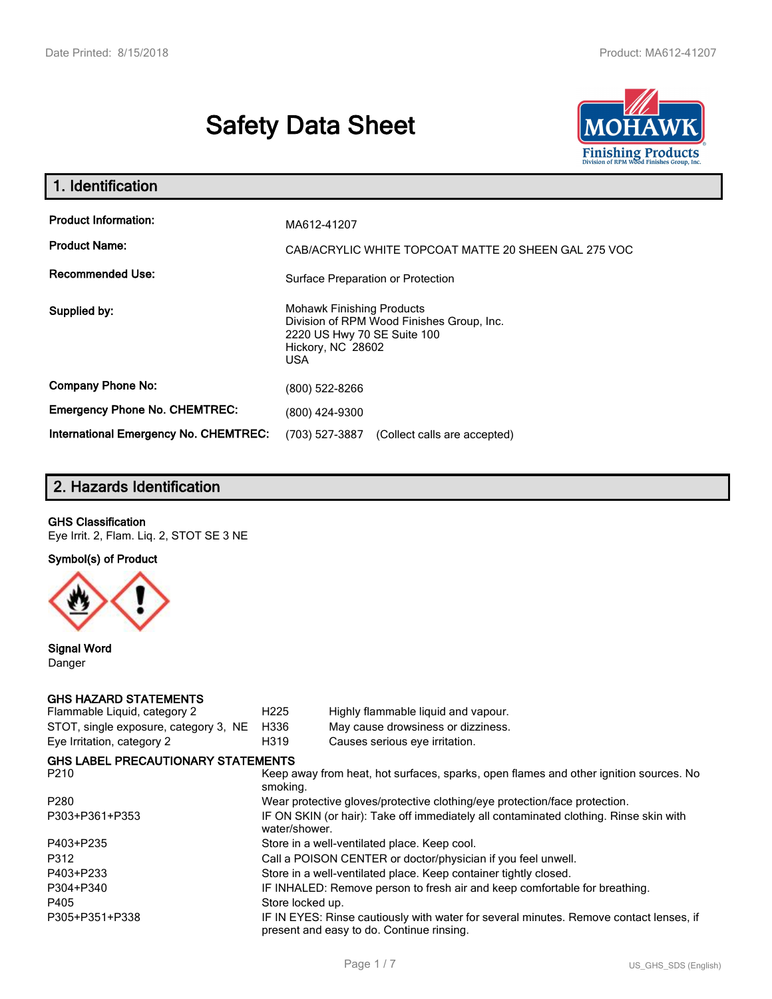# **Safety Data Sheet**



| 1. Identification                                                              |                                                                                                                                          |
|--------------------------------------------------------------------------------|------------------------------------------------------------------------------------------------------------------------------------------|
| <b>Product Information:</b><br><b>Product Name:</b><br><b>Recommended Use:</b> | MA612-41207<br>CAB/ACRYLIC WHITE TOPCOAT MATTE 20 SHEEN GAL 275 VOC<br>Surface Preparation or Protection                                 |
| Supplied by:                                                                   | <b>Mohawk Finishing Products</b><br>Division of RPM Wood Finishes Group, Inc.<br>2220 US Hwy 70 SE Suite 100<br>Hickory, NC 28602<br>USA |
| <b>Company Phone No:</b>                                                       | (800) 522-8266                                                                                                                           |
| <b>Emergency Phone No. CHEMTREC:</b>                                           | (800) 424-9300                                                                                                                           |
| International Emergency No. CHEMTREC:                                          | (703) 527-3887<br>(Collect calls are accepted)                                                                                           |

# **2. Hazards Identification**

#### **GHS Classification**

Eye Irrit. 2, Flam. Liq. 2, STOT SE 3 NE

**Symbol(s) of Product**



**Signal Word** Danger

## **GHS HAZARD STATEMENTS**

| Flammable Liquid, category 2              | H <sub>225</sub>                                                                                       | Highly flammable liquid and vapour.                                                                                                 |  |  |
|-------------------------------------------|--------------------------------------------------------------------------------------------------------|-------------------------------------------------------------------------------------------------------------------------------------|--|--|
| STOT, single exposure, category 3, NE     | H336                                                                                                   | May cause drowsiness or dizziness.                                                                                                  |  |  |
| Eye Irritation, category 2                | H319                                                                                                   | Causes serious eye irritation.                                                                                                      |  |  |
| <b>GHS LABEL PRECAUTIONARY STATEMENTS</b> |                                                                                                        |                                                                                                                                     |  |  |
| P210                                      | smoking.                                                                                               | Keep away from heat, hot surfaces, sparks, open flames and other ignition sources. No                                               |  |  |
| P280                                      |                                                                                                        | Wear protective gloves/protective clothing/eye protection/face protection.                                                          |  |  |
| P303+P361+P353                            | IF ON SKIN (or hair): Take off immediately all contaminated clothing. Rinse skin with<br>water/shower. |                                                                                                                                     |  |  |
| P403+P235                                 | Store in a well-ventilated place. Keep cool.                                                           |                                                                                                                                     |  |  |
| P312                                      | Call a POISON CENTER or doctor/physician if you feel unwell.                                           |                                                                                                                                     |  |  |
| P403+P233                                 |                                                                                                        | Store in a well-ventilated place. Keep container tightly closed.                                                                    |  |  |
| P304+P340                                 | IF INHALED: Remove person to fresh air and keep comfortable for breathing.                             |                                                                                                                                     |  |  |
| P405                                      | Store locked up.                                                                                       |                                                                                                                                     |  |  |
| P305+P351+P338                            |                                                                                                        | IF IN EYES: Rinse cautiously with water for several minutes. Remove contact lenses, if<br>present and easy to do. Continue rinsing. |  |  |
|                                           |                                                                                                        |                                                                                                                                     |  |  |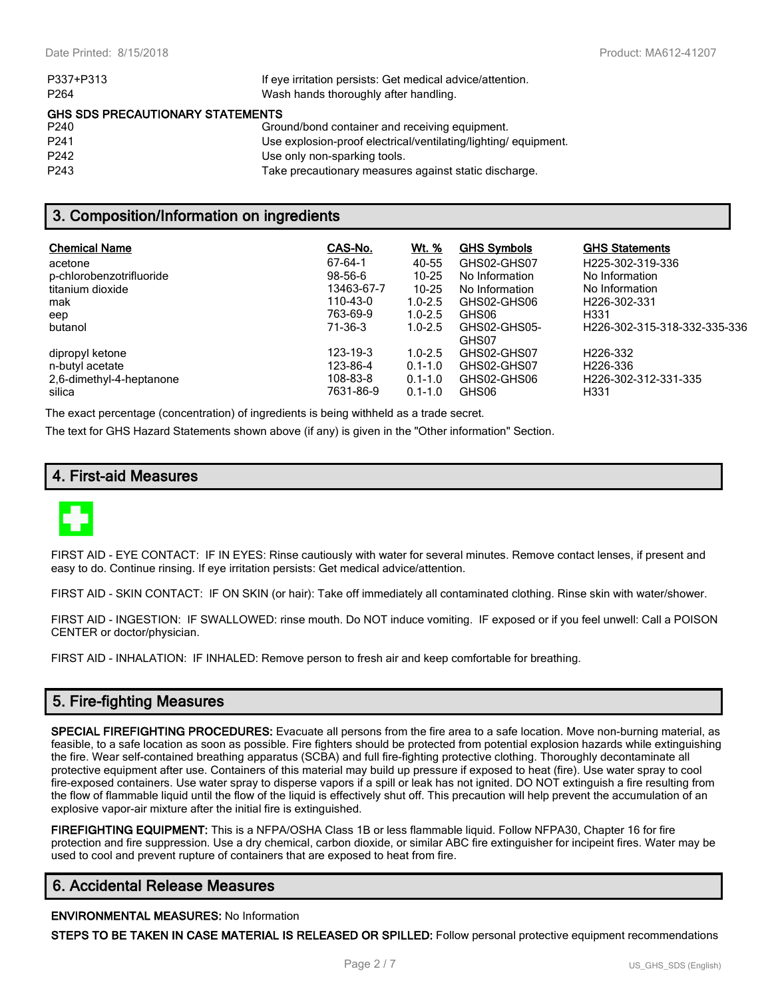| Wash hands thoroughly after handling.<br>P <sub>264</sub><br><b>GHS SDS PRECAUTIONARY STATEMENTS</b><br>P <sub>240</sub><br>Ground/bond container and receiving equipment.<br>P <sub>241</sub><br>Use explosion-proof electrical/ventilating/lighting/equipment.<br>P <sub>242</sub><br>Use only non-sparking tools.<br>P <sub>243</sub><br>Take precautionary measures against static discharge. | P337+P313 | If eye irritation persists: Get medical advice/attention. |
|---------------------------------------------------------------------------------------------------------------------------------------------------------------------------------------------------------------------------------------------------------------------------------------------------------------------------------------------------------------------------------------------------|-----------|-----------------------------------------------------------|
|                                                                                                                                                                                                                                                                                                                                                                                                   |           |                                                           |
|                                                                                                                                                                                                                                                                                                                                                                                                   |           |                                                           |
|                                                                                                                                                                                                                                                                                                                                                                                                   |           |                                                           |
|                                                                                                                                                                                                                                                                                                                                                                                                   |           |                                                           |
|                                                                                                                                                                                                                                                                                                                                                                                                   |           |                                                           |
|                                                                                                                                                                                                                                                                                                                                                                                                   |           |                                                           |

## **3. Composition/Information on ingredients**

| <b>Chemical Name</b><br>acetone<br>p-chlorobenzotrifluoride<br>titanium dioxide<br>mak<br>eep<br>butanol | CAS-No.<br>$67 - 64 - 1$<br>$98 - 56 - 6$<br>13463-67-7<br>110-43-0<br>763-69-9<br>71-36-3 | <u>Wt. %</u><br>40-55<br>$10 - 25$<br>$10 - 25$<br>$1.0 - 2.5$<br>$1.0 - 2.5$<br>$1.0 - 2.5$ | <b>GHS Symbols</b><br>GHS02-GHS07<br>No Information<br>No Information<br>GHS02-GHS06<br>GHS06<br>GHS02-GHS05-<br>GHS07 | <b>GHS Statements</b><br>H225-302-319-336<br>No Information<br>No Information<br>H <sub>226</sub> -302-331<br>H <sub>331</sub><br>H <sub>226</sub> -302-315-318-332-335-336 |
|----------------------------------------------------------------------------------------------------------|--------------------------------------------------------------------------------------------|----------------------------------------------------------------------------------------------|------------------------------------------------------------------------------------------------------------------------|-----------------------------------------------------------------------------------------------------------------------------------------------------------------------------|
| dipropyl ketone                                                                                          | 123-19-3                                                                                   | $1.0 - 2.5$                                                                                  | GHS02-GHS07                                                                                                            | H <sub>226</sub> -332                                                                                                                                                       |
| n-butyl acetate                                                                                          | 123-86-4                                                                                   | $0.1 - 1.0$                                                                                  | GHS02-GHS07                                                                                                            | H <sub>226</sub> -336                                                                                                                                                       |
| 2,6-dimethyl-4-heptanone                                                                                 | 108-83-8                                                                                   | $0.1 - 1.0$                                                                                  | GHS02-GHS06                                                                                                            | H226-302-312-331-335                                                                                                                                                        |
| silica                                                                                                   | 7631-86-9                                                                                  | $0.1 - 1.0$                                                                                  | GHS06                                                                                                                  | H <sub>331</sub>                                                                                                                                                            |

The exact percentage (concentration) of ingredients is being withheld as a trade secret.

The text for GHS Hazard Statements shown above (if any) is given in the "Other information" Section.

## **4. First-aid Measures**



FIRST AID - EYE CONTACT: IF IN EYES: Rinse cautiously with water for several minutes. Remove contact lenses, if present and easy to do. Continue rinsing. If eye irritation persists: Get medical advice/attention.

FIRST AID - SKIN CONTACT: IF ON SKIN (or hair): Take off immediately all contaminated clothing. Rinse skin with water/shower.

FIRST AID - INGESTION: IF SWALLOWED: rinse mouth. Do NOT induce vomiting. IF exposed or if you feel unwell: Call a POISON CENTER or doctor/physician.

FIRST AID - INHALATION: IF INHALED: Remove person to fresh air and keep comfortable for breathing.

## **5. Fire-fighting Measures**

**SPECIAL FIREFIGHTING PROCEDURES:** Evacuate all persons from the fire area to a safe location. Move non-burning material, as feasible, to a safe location as soon as possible. Fire fighters should be protected from potential explosion hazards while extinguishing the fire. Wear self-contained breathing apparatus (SCBA) and full fire-fighting protective clothing. Thoroughly decontaminate all protective equipment after use. Containers of this material may build up pressure if exposed to heat (fire). Use water spray to cool fire-exposed containers. Use water spray to disperse vapors if a spill or leak has not ignited. DO NOT extinguish a fire resulting from the flow of flammable liquid until the flow of the liquid is effectively shut off. This precaution will help prevent the accumulation of an explosive vapor-air mixture after the initial fire is extinguished.

**FIREFIGHTING EQUIPMENT:** This is a NFPA/OSHA Class 1B or less flammable liquid. Follow NFPA30, Chapter 16 for fire protection and fire suppression. Use a dry chemical, carbon dioxide, or similar ABC fire extinguisher for incipeint fires. Water may be used to cool and prevent rupture of containers that are exposed to heat from fire.

#### **6. Accidental Release Measures**

#### **ENVIRONMENTAL MEASURES:** No Information

**STEPS TO BE TAKEN IN CASE MATERIAL IS RELEASED OR SPILLED:** Follow personal protective equipment recommendations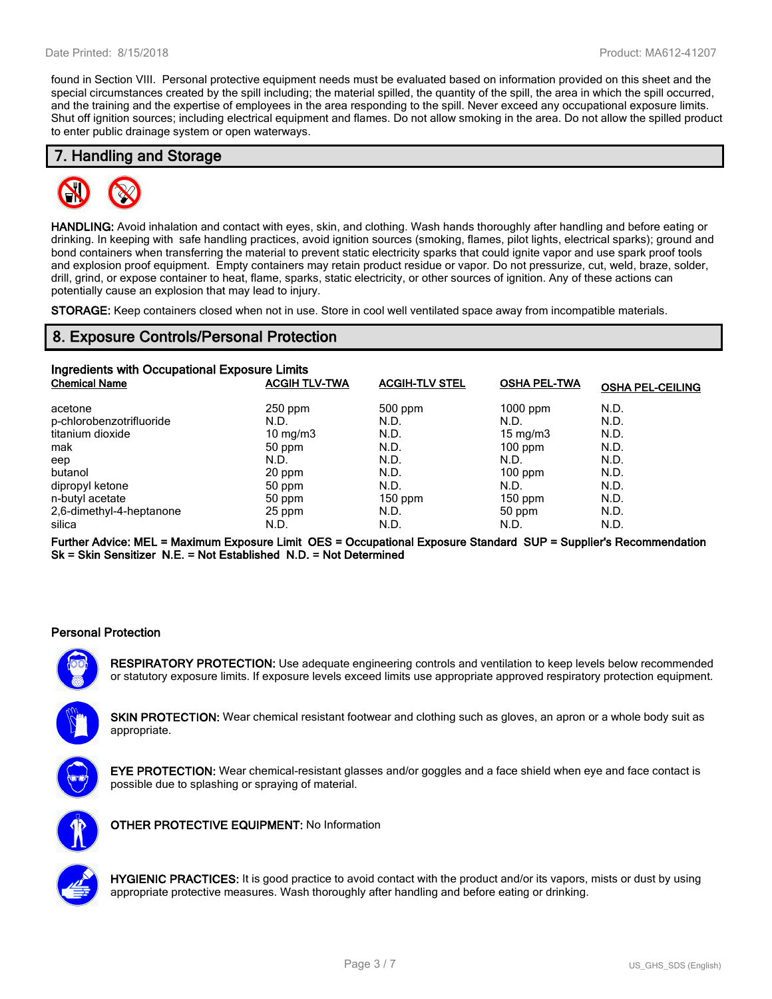found in Section VIII. Personal protective equipment needs must be evaluated based on information provided on this sheet and the special circumstances created by the spill including; the material spilled, the quantity of the spill, the area in which the spill occurred, and the training and the expertise of employees in the area responding to the spill. Never exceed any occupational exposure limits. Shut off ignition sources; including electrical equipment and flames. Do not allow smoking in the area. Do not allow the spilled product to enter public drainage system or open waterways.

## **7. Handling and Storage**



**HANDLING:** Avoid inhalation and contact with eyes, skin, and clothing. Wash hands thoroughly after handling and before eating or drinking. In keeping with safe handling practices, avoid ignition sources (smoking, flames, pilot lights, electrical sparks); ground and bond containers when transferring the material to prevent static electricity sparks that could ignite vapor and use spark proof tools and explosion proof equipment. Empty containers may retain product residue or vapor. Do not pressurize, cut, weld, braze, solder, drill, grind, or expose container to heat, flame, sparks, static electricity, or other sources of ignition. Any of these actions can potentially cause an explosion that may lead to injury.

**STORAGE:** Keep containers closed when not in use. Store in cool well ventilated space away from incompatible materials.

## **8. Exposure Controls/Personal Protection**

| Ingredients with Occupational Exposure Limits |                      |                       |                     |                         |  |  |
|-----------------------------------------------|----------------------|-----------------------|---------------------|-------------------------|--|--|
| <b>Chemical Name</b>                          | <b>ACGIH TLV-TWA</b> | <b>ACGIH-TLV STEL</b> | <b>OSHA PEL-TWA</b> | <b>OSHA PEL-CEILING</b> |  |  |
| acetone                                       | $250$ ppm            | 500 ppm               | $1000$ ppm          | N.D.                    |  |  |
| p-chlorobenzotrifluoride                      | N.D.                 | N.D.                  | N.D.                | N.D.                    |  |  |
| titanium dioxide                              | $10 \text{ mg/m}$    | N.D.                  | $15 \text{ mg/m}$   | N.D.                    |  |  |
| mak                                           | 50 ppm               | N.D.                  | $100$ ppm           | N.D.                    |  |  |
| eep                                           | N.D.                 | N.D.                  | N.D.                | N.D.                    |  |  |
| butanol                                       | 20 ppm               | N.D.                  | $100$ ppm           | N.D.                    |  |  |
| dipropyl ketone                               | 50 ppm               | N.D.                  | N.D.                | N.D.                    |  |  |
| n-butyl acetate                               | 50 ppm               | $150$ ppm             | $150$ ppm           | N.D.                    |  |  |
| 2,6-dimethyl-4-heptanone                      | 25 ppm               | N.D.                  | 50 ppm              | N.D.                    |  |  |
| silica                                        | N.D.                 | N.D.                  | N.D.                | N.D.                    |  |  |

**Further Advice: MEL = Maximum Exposure Limit OES = Occupational Exposure Standard SUP = Supplier's Recommendation Sk = Skin Sensitizer N.E. = Not Established N.D. = Not Determined**

#### **Personal Protection**

**RESPIRATORY PROTECTION:** Use adequate engineering controls and ventilation to keep levels below recommended or statutory exposure limits. If exposure levels exceed limits use appropriate approved respiratory protection equipment.

**SKIN PROTECTION:** Wear chemical resistant footwear and clothing such as gloves, an apron or a whole body suit as appropriate.



**EYE PROTECTION:** Wear chemical-resistant glasses and/or goggles and a face shield when eye and face contact is possible due to splashing or spraying of material.



**OTHER PROTECTIVE EQUIPMENT:** No Information



**HYGIENIC PRACTICES:** It is good practice to avoid contact with the product and/or its vapors, mists or dust by using appropriate protective measures. Wash thoroughly after handling and before eating or drinking.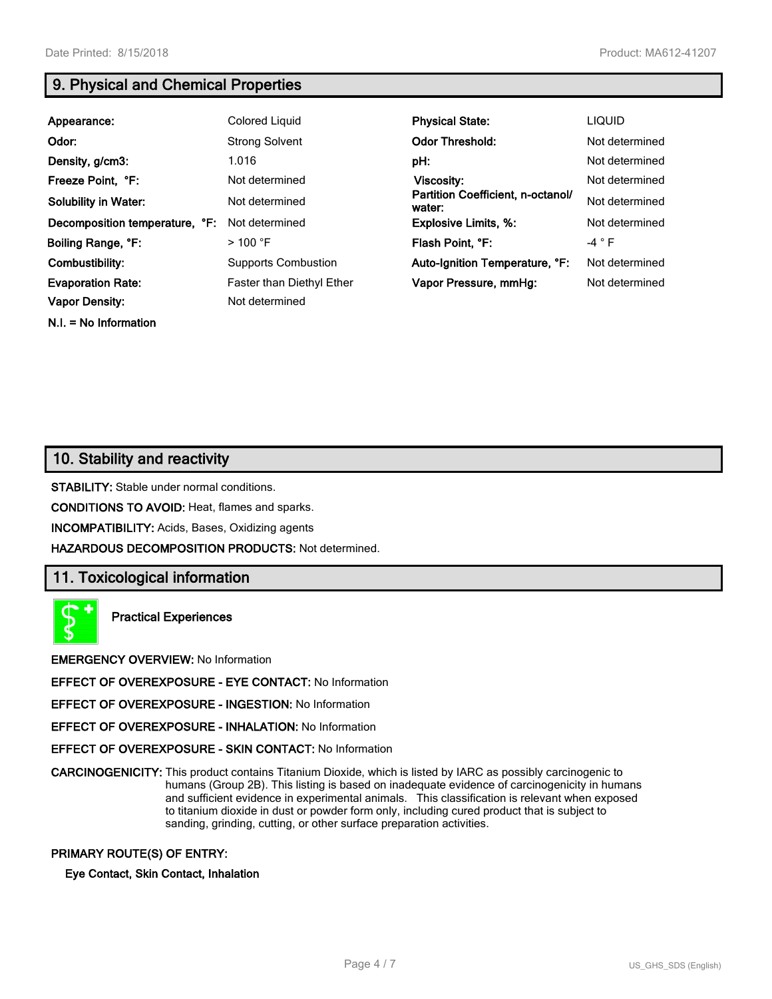**N.I. = No Information**

# **9. Physical and Chemical Properties**

| Appearance:                    | Colored Liquid             | <b>Physical State:</b>                      | <b>LIQUID</b>  |
|--------------------------------|----------------------------|---------------------------------------------|----------------|
| Odor:                          | <b>Strong Solvent</b>      | <b>Odor Threshold:</b>                      | Not determined |
| Density, g/cm3:                | 1.016                      | pH:                                         | Not determined |
| Freeze Point, °F:              | Not determined             | Viscosity:                                  | Not determined |
| <b>Solubility in Water:</b>    | Not determined             | Partition Coefficient, n-octanol/<br>water: | Not determined |
| Decomposition temperature, °F: | Not determined             | <b>Explosive Limits, %:</b>                 | Not determined |
| Boiling Range, °F:             | $>100$ °F                  | Flash Point, °F:                            | $-4 ° F$       |
| Combustibility:                | <b>Supports Combustion</b> | Auto-Ignition Temperature, °F:              | Not determined |
| <b>Evaporation Rate:</b>       | Faster than Diethyl Ether  | Vapor Pressure, mmHq:                       | Not determined |
| <b>Vapor Density:</b>          | Not determined             |                                             |                |

# **10. Stability and reactivity**

**STABILITY:** Stable under normal conditions.

**CONDITIONS TO AVOID:** Heat, flames and sparks.

**INCOMPATIBILITY:** Acids, Bases, Oxidizing agents

**HAZARDOUS DECOMPOSITION PRODUCTS:** Not determined.

#### **11. Toxicological information**



**Practical Experiences**

**EMERGENCY OVERVIEW:** No Information

**EFFECT OF OVEREXPOSURE - EYE CONTACT:** No Information

**EFFECT OF OVEREXPOSURE - INGESTION:** No Information

**EFFECT OF OVEREXPOSURE - INHALATION:** No Information

**EFFECT OF OVEREXPOSURE - SKIN CONTACT:** No Information

**CARCINOGENICITY:** This product contains Titanium Dioxide, which is listed by IARC as possibly carcinogenic to humans (Group 2B). This listing is based on inadequate evidence of carcinogenicity in humans and sufficient evidence in experimental animals. This classification is relevant when exposed to titanium dioxide in dust or powder form only, including cured product that is subject to sanding, grinding, cutting, or other surface preparation activities.

#### **PRIMARY ROUTE(S) OF ENTRY:**

**Eye Contact, Skin Contact, Inhalation**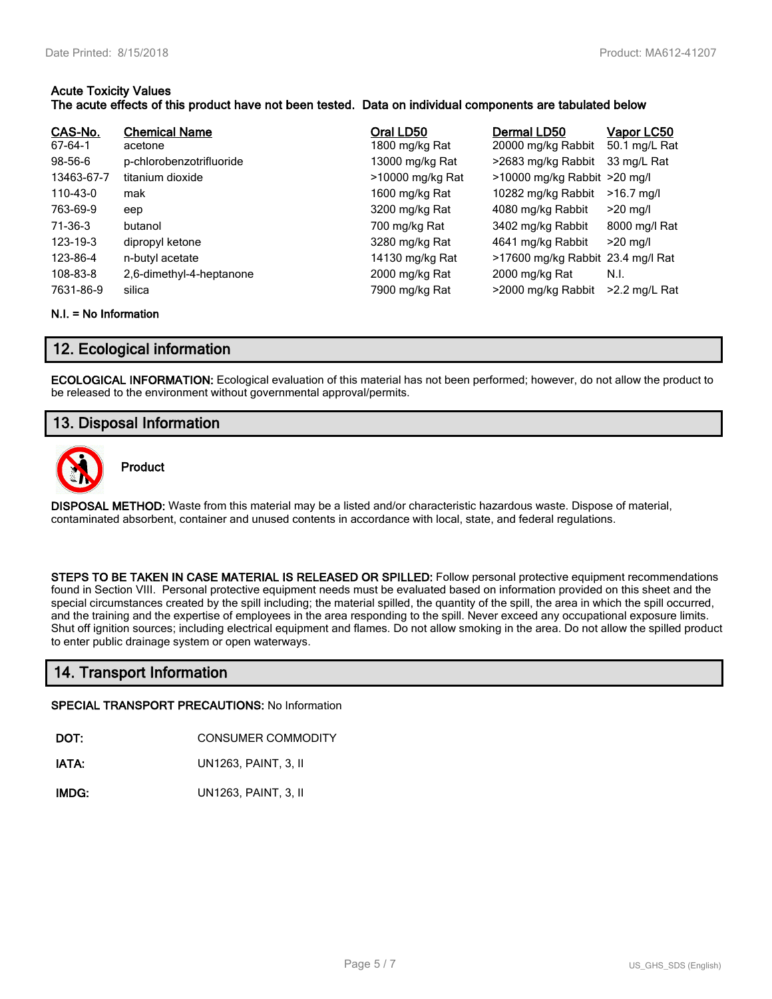#### **Acute Toxicity Values The acute effects of this product have not been tested. Data on individual components are tabulated below**

| CAS-No.<br>67-64-1<br>$98-56-6$<br>13463-67-7<br>110-43-0<br>763-69-9<br>71-36-3<br>123-19-3<br>123-86-4 | <b>Chemical Name</b><br>acetone<br>p-chlorobenzotrifluoride<br>titanium dioxide<br>mak<br>eep<br>butanol<br>dipropyl ketone<br>n-butyl acetate | Oral LD50<br>1800 mg/kg Rat<br>13000 mg/kg Rat<br>>10000 mg/kg Rat<br>1600 mg/kg Rat<br>3200 mg/kg Rat<br>700 mg/kg Rat<br>3280 mg/kg Rat<br>14130 mg/kg Rat | Dermal LD50<br>20000 mg/kg Rabbit<br>>2683 mg/kg Rabbit<br>>10000 mg/kg Rabbit >20 mg/l<br>10282 mg/kg Rabbit<br>4080 mg/kg Rabbit<br>3402 mg/kg Rabbit<br>4641 mg/kg Rabbit<br>>17600 mg/kg Rabbit 23.4 mg/l Rat | <b>Vapor LC50</b><br>50.1 mg/L Rat<br>33 mg/L Rat<br>$>16.7$ mg/l<br>$>20$ mg/l<br>8000 mg/l Rat<br>$>20$ mg/l |
|----------------------------------------------------------------------------------------------------------|------------------------------------------------------------------------------------------------------------------------------------------------|--------------------------------------------------------------------------------------------------------------------------------------------------------------|-------------------------------------------------------------------------------------------------------------------------------------------------------------------------------------------------------------------|----------------------------------------------------------------------------------------------------------------|
| 108-83-8                                                                                                 | 2,6-dimethyl-4-heptanone                                                                                                                       | 2000 mg/kg Rat                                                                                                                                               | 2000 mg/kg Rat                                                                                                                                                                                                    | N.I.                                                                                                           |
| 7631-86-9                                                                                                | silica                                                                                                                                         | 7900 mg/kg Rat                                                                                                                                               | >2000 mg/kg Rabbit                                                                                                                                                                                                | $>2.2$ mg/L Rat                                                                                                |

#### **N.I. = No Information**

# **12. Ecological information**

**ECOLOGICAL INFORMATION:** Ecological evaluation of this material has not been performed; however, do not allow the product to be released to the environment without governmental approval/permits.

# **13. Disposal Information**



**Product**

**DISPOSAL METHOD:** Waste from this material may be a listed and/or characteristic hazardous waste. Dispose of material, contaminated absorbent, container and unused contents in accordance with local, state, and federal regulations.

**STEPS TO BE TAKEN IN CASE MATERIAL IS RELEASED OR SPILLED:** Follow personal protective equipment recommendations found in Section VIII. Personal protective equipment needs must be evaluated based on information provided on this sheet and the special circumstances created by the spill including; the material spilled, the quantity of the spill, the area in which the spill occurred, and the training and the expertise of employees in the area responding to the spill. Never exceed any occupational exposure limits. Shut off ignition sources; including electrical equipment and flames. Do not allow smoking in the area. Do not allow the spilled product to enter public drainage system or open waterways.

## **14. Transport Information**

#### **SPECIAL TRANSPORT PRECAUTIONS:** No Information

**DOT:** CONSUMER COMMODITY

**IATA:** UN1263, PAINT, 3, II

**IMDG:** UN1263, PAINT, 3, II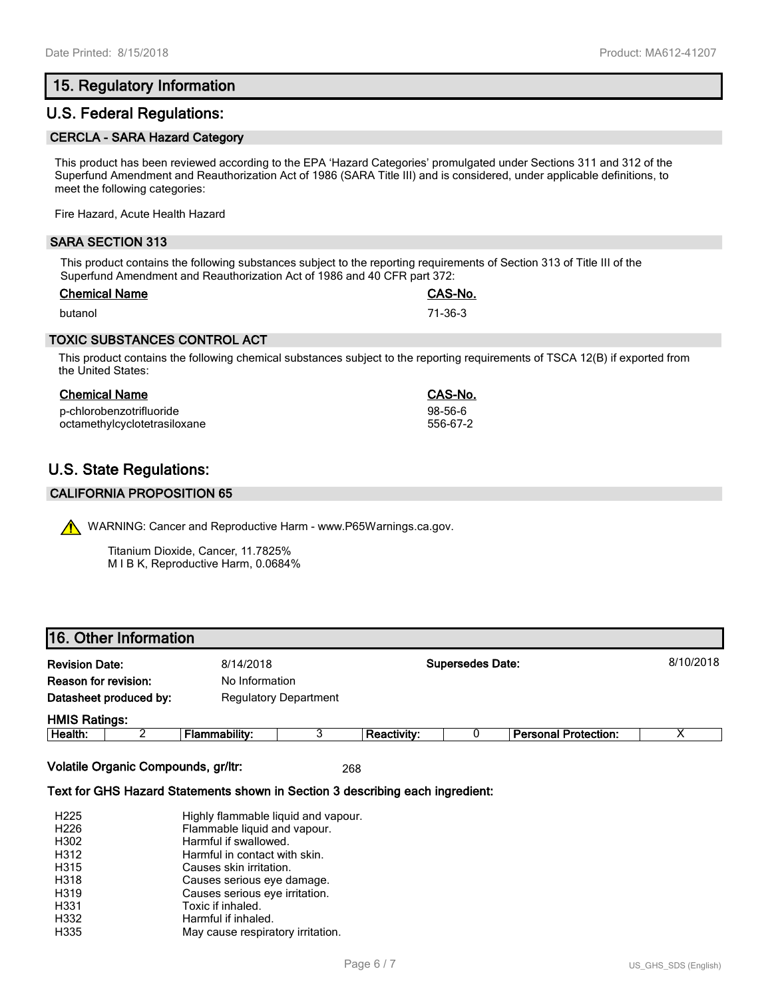# **15. Regulatory Information**

# **U.S. Federal Regulations:**

#### **CERCLA - SARA Hazard Category**

This product has been reviewed according to the EPA 'Hazard Categories' promulgated under Sections 311 and 312 of the Superfund Amendment and Reauthorization Act of 1986 (SARA Title III) and is considered, under applicable definitions, to meet the following categories:

Fire Hazard, Acute Health Hazard

#### **SARA SECTION 313**

This product contains the following substances subject to the reporting requirements of Section 313 of Title III of the Superfund Amendment and Reauthorization Act of 1986 and 40 CFR part 372:

| <b>Chemical Name</b> | <b>CAS-No.</b> |
|----------------------|----------------|
| butanol              | 71-36-3        |

#### **TOXIC SUBSTANCES CONTROL ACT**

This product contains the following chemical substances subject to the reporting requirements of TSCA 12(B) if exported from the United States:

#### **Chemical Name CAS-No.**

p-chlorobenzotrifluoride 98-56-6 octamethylcyclotetrasiloxane

# **U.S. State Regulations:**

#### **CALIFORNIA PROPOSITION 65**

WARNING: Cancer and Reproductive Harm - www.P65Warnings.ca.gov.

Titanium Dioxide, Cancer, 11.7825% M I B K, Reproductive Harm, 0.0684%

## **16. Other Information**

| <b>Revision Date:</b><br>8/14/2018<br>Reason for revision:<br>No Information |  |                      | <b>Supersedes Date:</b> |                    | 8/10/2018 |                             |   |
|------------------------------------------------------------------------------|--|----------------------|-------------------------|--------------------|-----------|-----------------------------|---|
| Datasheet produced by:<br><b>Regulatory Department</b>                       |  |                      |                         |                    |           |                             |   |
| <b>HMIS Ratings:</b>                                                         |  |                      |                         |                    |           |                             |   |
| Health:                                                                      |  | <b>Flammability:</b> |                         | <b>Reactivity:</b> |           | <b>Personal Protection:</b> | v |

**Volatile Organic Compounds, gr/ltr:** 268

#### **Text for GHS Hazard Statements shown in Section 3 describing each ingredient:**

| H <sub>225</sub> | Highly flammable liquid and vapour. |
|------------------|-------------------------------------|
| H <sub>226</sub> | Flammable liquid and vapour.        |
| H302             | Harmful if swallowed.               |
| H312             | Harmful in contact with skin.       |
| H315             | Causes skin irritation.             |
| H318             | Causes serious eye damage.          |
| H319             | Causes serious eye irritation.      |
| H331             | Toxic if inhaled.                   |
| H332             | Harmful if inhaled.                 |
| H335             | May cause respiratory irritation.   |